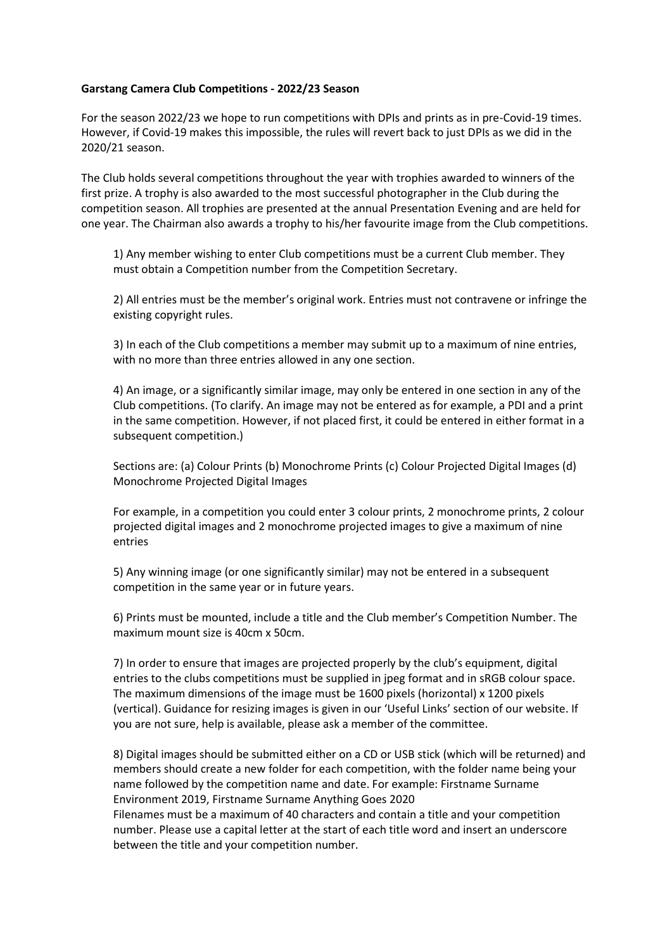## **Garstang Camera Club Competitions - 2022/23 Season**

For the season 2022/23 we hope to run competitions with DPIs and prints as in pre-Covid-19 times. However, if Covid-19 makes this impossible, the rules will revert back to just DPIs as we did in the 2020/21 season.

The Club holds several competitions throughout the year with trophies awarded to winners of the first prize. A trophy is also awarded to the most successful photographer in the Club during the competition season. All trophies are presented at the annual Presentation Evening and are held for one year. The Chairman also awards a trophy to his/her favourite image from the Club competitions.

1) Any member wishing to enter Club competitions must be a current Club member. They must obtain a Competition number from the Competition Secretary.

2) All entries must be the member's original work. Entries must not contravene or infringe the existing copyright rules.

3) In each of the Club competitions a member may submit up to a maximum of nine entries, with no more than three entries allowed in any one section.

4) An image, or a significantly similar image, may only be entered in one section in any of the Club competitions. (To clarify. An image may not be entered as for example, a PDI and a print in the same competition. However, if not placed first, it could be entered in either format in a subsequent competition.)

Sections are: (a) Colour Prints (b) Monochrome Prints (c) Colour Projected Digital Images (d) Monochrome Projected Digital Images

For example, in a competition you could enter 3 colour prints, 2 monochrome prints, 2 colour projected digital images and 2 monochrome projected images to give a maximum of nine entries

5) Any winning image (or one significantly similar) may not be entered in a subsequent competition in the same year or in future years.

6) Prints must be mounted, include a title and the Club member's Competition Number. The maximum mount size is 40cm x 50cm.

7) In order to ensure that images are projected properly by the club's equipment, digital entries to the clubs competitions must be supplied in jpeg format and in sRGB colour space. The maximum dimensions of the image must be 1600 pixels (horizontal) x 1200 pixels (vertical). Guidance for resizing images is given in our 'Useful Links' section of our website. If you are not sure, help is available, please ask a member of the committee.

8) Digital images should be submitted either on a CD or USB stick (which will be returned) and members should create a new folder for each competition, with the folder name being your name followed by the competition name and date. For example: Firstname Surname Environment 2019, Firstname Surname Anything Goes 2020 Filenames must be a maximum of 40 characters and contain a title and your competition

number. Please use a capital letter at the start of each title word and insert an underscore between the title and your competition number.